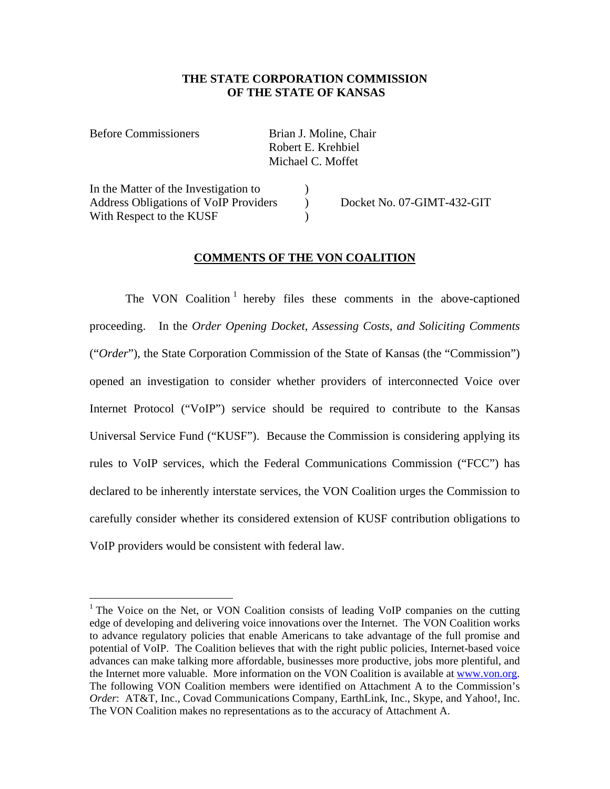#### **THE STATE CORPORATION COMMISSION OF THE STATE OF KANSAS**

Before Commissioners Brian J. Moline, Chair

1

 Robert E. Krehbiel Michael C. Moffet

In the Matter of the Investigation to  $\qquad$ Address Obligations of VoIP Providers ) Docket No. 07-GIMT-432-GIT With Respect to the KUSF (1994)

## **COMMENTS OF THE VON COALITION**

The VON Coalition<sup>1</sup> hereby files these comments in the above-captioned proceeding. In the *Order Opening Docket, Assessing Costs, and Soliciting Comments*  ("*Order*"), the State Corporation Commission of the State of Kansas (the "Commission") opened an investigation to consider whether providers of interconnected Voice over Internet Protocol ("VoIP") service should be required to contribute to the Kansas Universal Service Fund ("KUSF"). Because the Commission is considering applying its rules to VoIP services, which the Federal Communications Commission ("FCC") has declared to be inherently interstate services, the VON Coalition urges the Commission to carefully consider whether its considered extension of KUSF contribution obligations to VoIP providers would be consistent with federal law.

<sup>&</sup>lt;sup>1</sup> The Voice on the Net, or VON Coalition consists of leading VoIP companies on the cutting edge of developing and delivering voice innovations over the Internet. The VON Coalition works to advance regulatory policies that enable Americans to take advantage of the full promise and potential of VoIP. The Coalition believes that with the right public policies, Internet-based voice advances can make talking more affordable, businesses more productive, jobs more plentiful, and the Internet more valuable. More information on the VON Coalition is available at www.von.org. The following VON Coalition members were identified on Attachment A to the Commission's *Order*: AT&T, Inc., Covad Communications Company, EarthLink, Inc., Skype, and Yahoo!, Inc. The VON Coalition makes no representations as to the accuracy of Attachment A.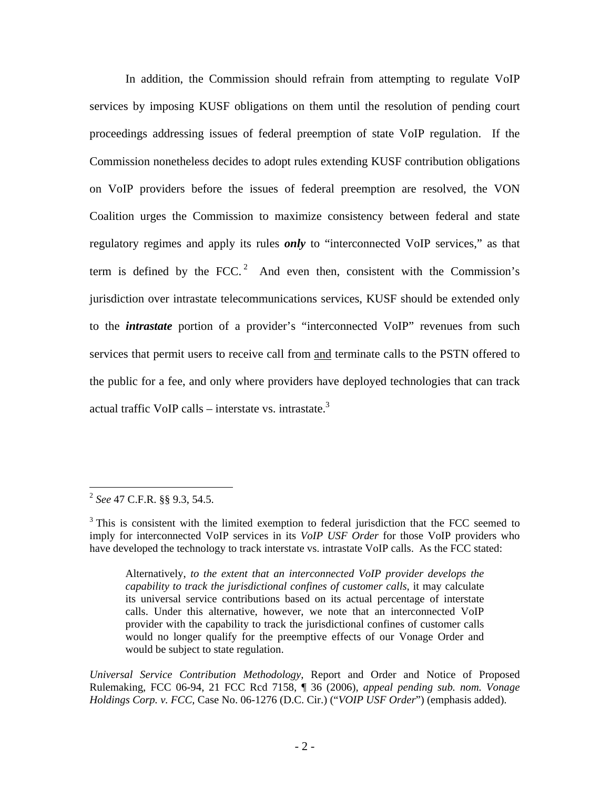In addition, the Commission should refrain from attempting to regulate VoIP services by imposing KUSF obligations on them until the resolution of pending court proceedings addressing issues of federal preemption of state VoIP regulation. If the Commission nonetheless decides to adopt rules extending KUSF contribution obligations on VoIP providers before the issues of federal preemption are resolved, the VON Coalition urges the Commission to maximize consistency between federal and state regulatory regimes and apply its rules *only* to "interconnected VoIP services," as that term is defined by the FCC.<sup>2</sup> And even then, consistent with the Commission's jurisdiction over intrastate telecommunications services, KUSF should be extended only to the *intrastate* portion of a provider's "interconnected VoIP" revenues from such services that permit users to receive call from and terminate calls to the PSTN offered to the public for a fee, and only where providers have deployed technologies that can track actual traffic VoIP calls – interstate vs. intrastate. $3$ 

<sup>2</sup> *See* 47 C.F.R. §§ 9.3, 54.5.

 $3$  This is consistent with the limited exemption to federal jurisdiction that the FCC seemed to imply for interconnected VoIP services in its *VoIP USF Order* for those VoIP providers who have developed the technology to track interstate vs. intrastate VoIP calls. As the FCC stated:

Alternatively, *to the extent that an interconnected VoIP provider develops the capability to track the jurisdictional confines of customer calls*, it may calculate its universal service contributions based on its actual percentage of interstate calls. Under this alternative, however, we note that an interconnected VoIP provider with the capability to track the jurisdictional confines of customer calls would no longer qualify for the preemptive effects of our Vonage Order and would be subject to state regulation.

*Universal Service Contribution Methodology*, Report and Order and Notice of Proposed Rulemaking, FCC 06-94, 21 FCC Rcd 7158, ¶ 36 (2006), *appeal pending sub. nom. Vonage Holdings Corp. v. FCC,* Case No. 06-1276 (D.C. Cir.) ("*VOIP USF Order*") (emphasis added).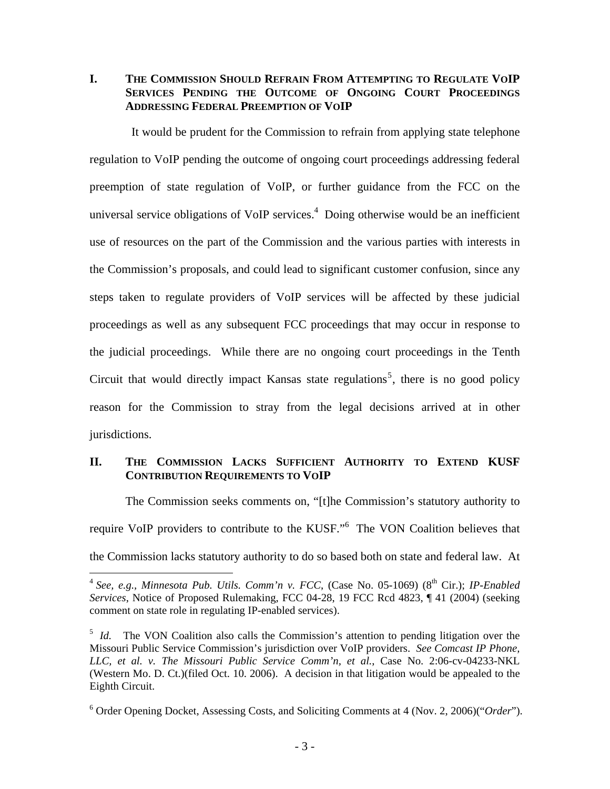**I. THE COMMISSION SHOULD REFRAIN FROM ATTEMPTING TO REGULATE VOIP SERVICES PENDING THE OUTCOME OF ONGOING COURT PROCEEDINGS ADDRESSING FEDERAL PREEMPTION OF VOIP** 

 It would be prudent for the Commission to refrain from applying state telephone regulation to VoIP pending the outcome of ongoing court proceedings addressing federal preemption of state regulation of VoIP, or further guidance from the FCC on the universal service obligations of VoIP services. $4$  Doing otherwise would be an inefficient use of resources on the part of the Commission and the various parties with interests in the Commission's proposals, and could lead to significant customer confusion, since any steps taken to regulate providers of VoIP services will be affected by these judicial proceedings as well as any subsequent FCC proceedings that may occur in response to the judicial proceedings. While there are no ongoing court proceedings in the Tenth Circuit that would directly impact Kansas state regulations<sup>5</sup>, there is no good policy reason for the Commission to stray from the legal decisions arrived at in other jurisdictions.

## **II. THE COMMISSION LACKS SUFFICIENT AUTHORITY TO EXTEND KUSF CONTRIBUTION REQUIREMENTS TO VOIP**

The Commission seeks comments on, "[t]he Commission's statutory authority to require VoIP providers to contribute to the KUSF."<sup>6</sup> The VON Coalition believes that the Commission lacks statutory authority to do so based both on state and federal law. At

<sup>&</sup>lt;sup>4</sup> See, e.g., Minnesota Pub. Utils. Comm'n v. FCC, (Case No. 05-1069) (8<sup>th</sup> Cir.); *IP-Enabled Services*, Notice of Proposed Rulemaking, FCC 04-28, 19 FCC Rcd 4823, ¶ 41 (2004) (seeking comment on state role in regulating IP-enabled services).

<sup>&</sup>lt;sup>5</sup> *Id.* The VON Coalition also calls the Commission's attention to pending litigation over the Missouri Public Service Commission's jurisdiction over VoIP providers. *See Comcast IP Phone, LLC, et al. v. The Missouri Public Service Comm'n, et al.*, Case No. 2:06-cv-04233-NKL (Western Mo. D. Ct.)(filed Oct. 10. 2006). A decision in that litigation would be appealed to the Eighth Circuit.

<sup>6</sup> Order Opening Docket, Assessing Costs, and Soliciting Comments at 4 (Nov. 2, 2006)("*Order*").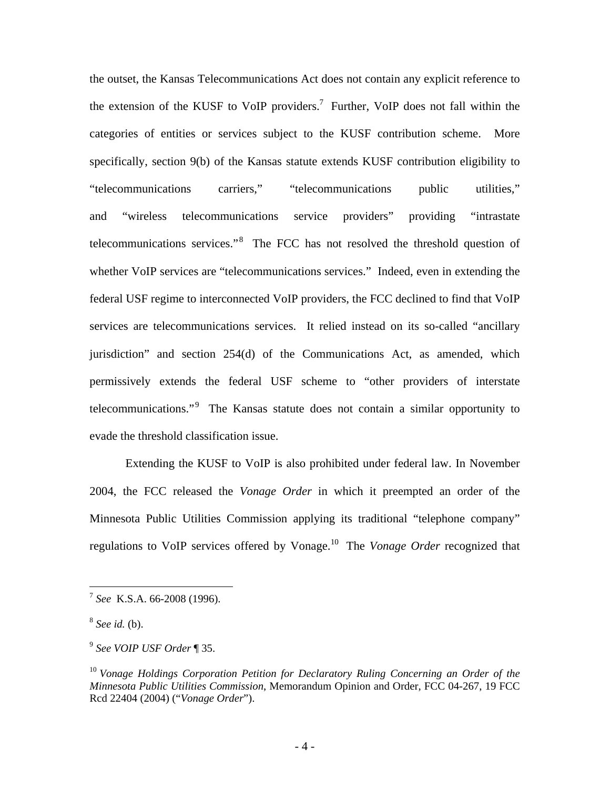the outset, the Kansas Telecommunications Act does not contain any explicit reference to the extension of the KUSF to VoIP providers.<sup>7</sup> Further, VoIP does not fall within the categories of entities or services subject to the KUSF contribution scheme. More specifically, section 9(b) of the Kansas statute extends KUSF contribution eligibility to "telecommunications carriers," "telecommunications public utilities," and "wireless telecommunications service providers" providing "intrastate telecommunications services."<sup>8</sup> The FCC has not resolved the threshold question of whether VoIP services are "telecommunications services." Indeed, even in extending the federal USF regime to interconnected VoIP providers, the FCC declined to find that VoIP services are telecommunications services. It relied instead on its so-called "ancillary jurisdiction" and section 254(d) of the Communications Act, as amended, which permissively extends the federal USF scheme to "other providers of interstate telecommunications."<sup>9</sup> The Kansas statute does not contain a similar opportunity to evade the threshold classification issue.

Extending the KUSF to VoIP is also prohibited under federal law. In November 2004, the FCC released the *Vonage Order* in which it preempted an order of the Minnesota Public Utilities Commission applying its traditional "telephone company" regulations to VoIP services offered by Vonage.10 The *Vonage Order* recognized that

<sup>7</sup> *See* K.S.A. 66-2008 (1996).

<sup>8</sup> *See id.* (b).

<sup>9</sup> *See VOIP USF Order* ¶ 35.

<sup>10</sup> *Vonage Holdings Corporation Petition for Declaratory Ruling Concerning an Order of the Minnesota Public Utilities Commission*, Memorandum Opinion and Order, FCC 04-267, 19 FCC Rcd 22404 (2004) ("*Vonage Order*").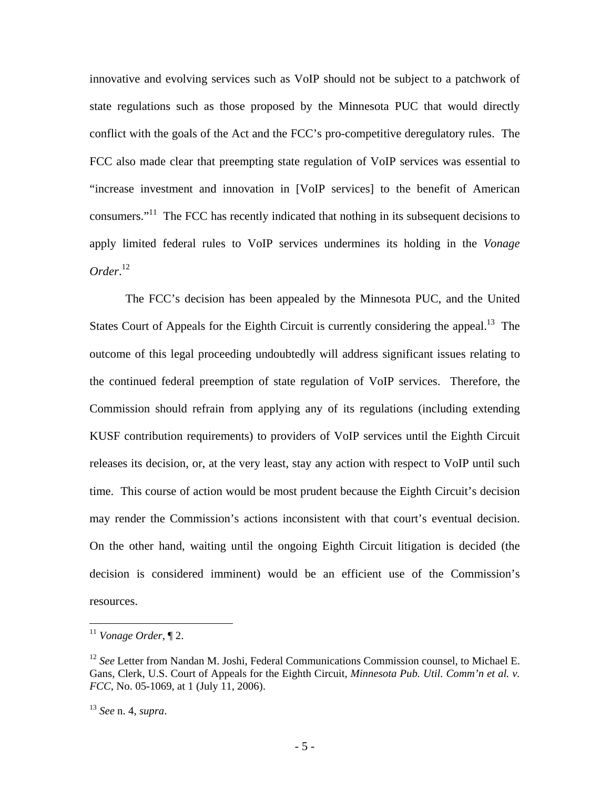innovative and evolving services such as VoIP should not be subject to a patchwork of state regulations such as those proposed by the Minnesota PUC that would directly conflict with the goals of the Act and the FCC's pro-competitive deregulatory rules. The FCC also made clear that preempting state regulation of VoIP services was essential to "increase investment and innovation in [VoIP services] to the benefit of American consumers."11 The FCC has recently indicated that nothing in its subsequent decisions to apply limited federal rules to VoIP services undermines its holding in the *Vonage Order*. 12

The FCC's decision has been appealed by the Minnesota PUC, and the United States Court of Appeals for the Eighth Circuit is currently considering the appeal.<sup>13</sup> The outcome of this legal proceeding undoubtedly will address significant issues relating to the continued federal preemption of state regulation of VoIP services. Therefore, the Commission should refrain from applying any of its regulations (including extending KUSF contribution requirements) to providers of VoIP services until the Eighth Circuit releases its decision, or, at the very least, stay any action with respect to VoIP until such time. This course of action would be most prudent because the Eighth Circuit's decision may render the Commission's actions inconsistent with that court's eventual decision. On the other hand, waiting until the ongoing Eighth Circuit litigation is decided (the decision is considered imminent) would be an efficient use of the Commission's resources.

<sup>11</sup> *Vonage Order*, ¶ 2.

<sup>&</sup>lt;sup>12</sup> See Letter from Nandan M. Joshi, Federal Communications Commission counsel, to Michael E. Gans, Clerk, U.S. Court of Appeals for the Eighth Circuit, *Minnesota Pub. Util. Comm'n et al. v. FCC*, No. 05-1069, at 1 (July 11, 2006).

<sup>13</sup> *See* n. 4, *supra*.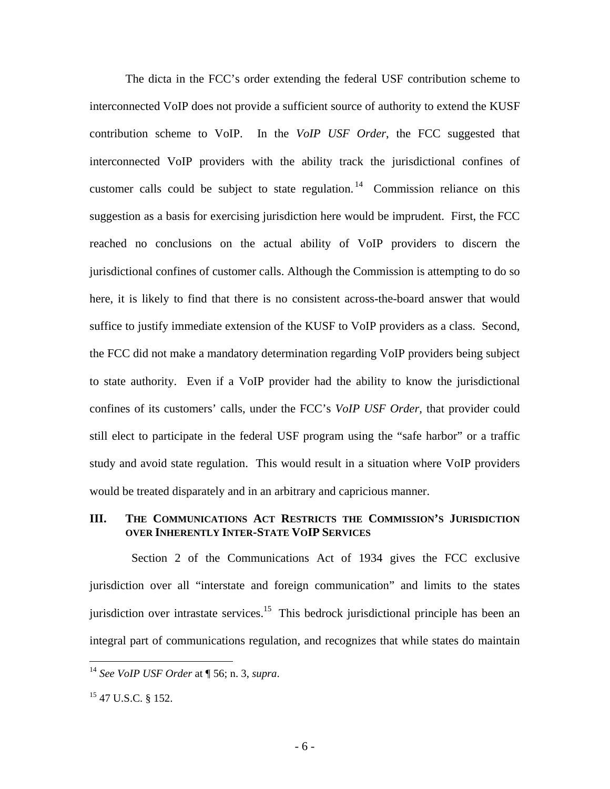The dicta in the FCC's order extending the federal USF contribution scheme to interconnected VoIP does not provide a sufficient source of authority to extend the KUSF contribution scheme to VoIP. In the *VoIP USF Order*, the FCC suggested that interconnected VoIP providers with the ability track the jurisdictional confines of customer calls could be subject to state regulation.<sup>14</sup> Commission reliance on this suggestion as a basis for exercising jurisdiction here would be imprudent. First, the FCC reached no conclusions on the actual ability of VoIP providers to discern the jurisdictional confines of customer calls. Although the Commission is attempting to do so here, it is likely to find that there is no consistent across-the-board answer that would suffice to justify immediate extension of the KUSF to VoIP providers as a class. Second, the FCC did not make a mandatory determination regarding VoIP providers being subject to state authority. Even if a VoIP provider had the ability to know the jurisdictional confines of its customers' calls, under the FCC's *VoIP USF Order*, that provider could still elect to participate in the federal USF program using the "safe harbor" or a traffic study and avoid state regulation. This would result in a situation where VoIP providers would be treated disparately and in an arbitrary and capricious manner.

#### **III. THE COMMUNICATIONS ACT RESTRICTS THE COMMISSION'S JURISDICTION OVER INHERENTLY INTER-STATE VOIP SERVICES**

 Section 2 of the Communications Act of 1934 gives the FCC exclusive jurisdiction over all "interstate and foreign communication" and limits to the states jurisdiction over intrastate services.<sup>15</sup> This bedrock jurisdictional principle has been an integral part of communications regulation, and recognizes that while states do maintain

<sup>14</sup> *See VoIP USF Order* at ¶ 56; n. 3, *supra*.

 $15$  47 U.S.C. § 152.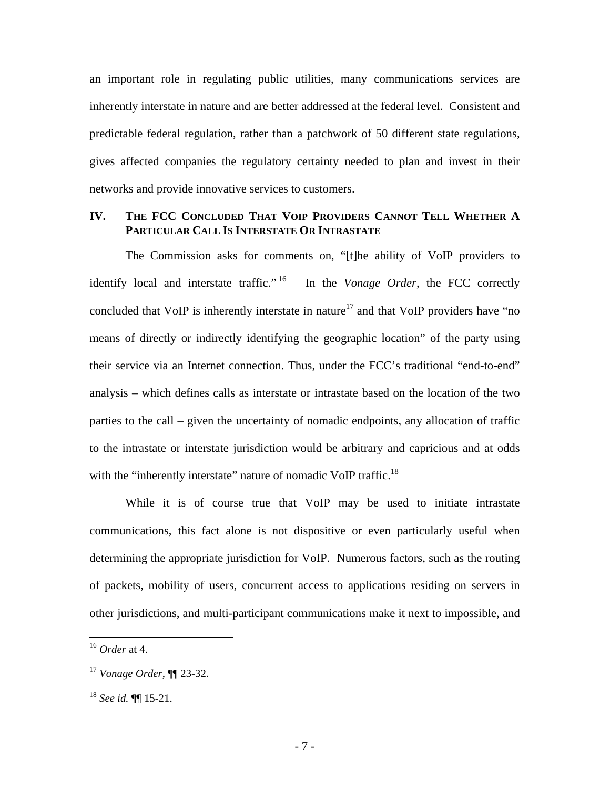an important role in regulating public utilities, many communications services are inherently interstate in nature and are better addressed at the federal level. Consistent and predictable federal regulation, rather than a patchwork of 50 different state regulations, gives affected companies the regulatory certainty needed to plan and invest in their networks and provide innovative services to customers.

#### **IV. THE FCC CONCLUDED THAT VOIP PROVIDERS CANNOT TELL WHETHER A PARTICULAR CALL IS INTERSTATE OR INTRASTATE**

The Commission asks for comments on, "[t]he ability of VoIP providers to identify local and interstate traffic." 16 In the *Vonage Order*, the FCC correctly concluded that VoIP is inherently interstate in nature<sup>17</sup> and that VoIP providers have "no means of directly or indirectly identifying the geographic location" of the party using their service via an Internet connection. Thus, under the FCC's traditional "end-to-end" analysis – which defines calls as interstate or intrastate based on the location of the two parties to the call – given the uncertainty of nomadic endpoints, any allocation of traffic to the intrastate or interstate jurisdiction would be arbitrary and capricious and at odds with the "inherently interstate" nature of nomadic VoIP traffic.<sup>18</sup>

While it is of course true that VoIP may be used to initiate intrastate communications, this fact alone is not dispositive or even particularly useful when determining the appropriate jurisdiction for VoIP. Numerous factors, such as the routing of packets, mobility of users, concurrent access to applications residing on servers in other jurisdictions, and multi-participant communications make it next to impossible, and

<sup>16</sup> *Order* at 4.

<sup>17</sup> *Vonage Order*, ¶¶ 23-32.

<sup>18</sup> *See id.* ¶¶ 15-21.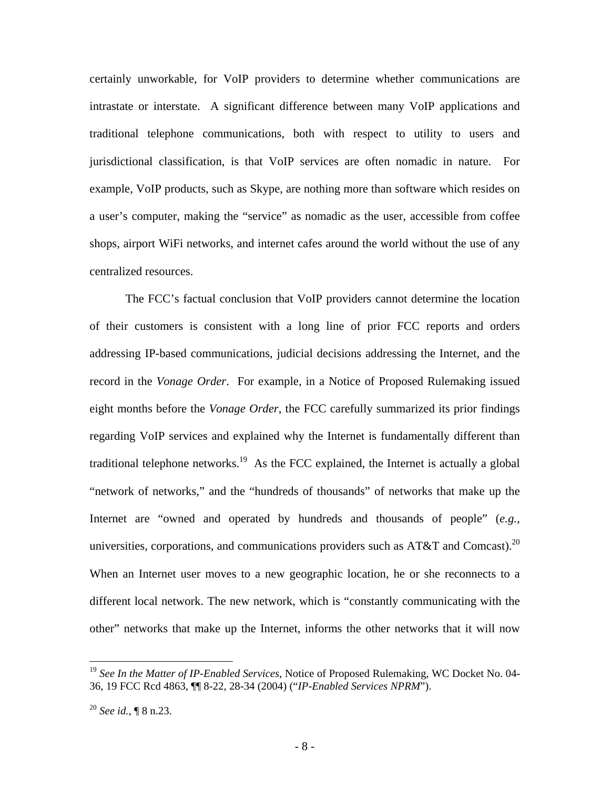certainly unworkable, for VoIP providers to determine whether communications are intrastate or interstate. A significant difference between many VoIP applications and traditional telephone communications, both with respect to utility to users and jurisdictional classification, is that VoIP services are often nomadic in nature. For example, VoIP products, such as Skype, are nothing more than software which resides on a user's computer, making the "service" as nomadic as the user, accessible from coffee shops, airport WiFi networks, and internet cafes around the world without the use of any centralized resources.

The FCC's factual conclusion that VoIP providers cannot determine the location of their customers is consistent with a long line of prior FCC reports and orders addressing IP-based communications, judicial decisions addressing the Internet, and the record in the *Vonage Order*. For example, in a Notice of Proposed Rulemaking issued eight months before the *Vonage Order*, the FCC carefully summarized its prior findings regarding VoIP services and explained why the Internet is fundamentally different than traditional telephone networks.<sup>19</sup> As the FCC explained, the Internet is actually a global "network of networks," and the "hundreds of thousands" of networks that make up the Internet are "owned and operated by hundreds and thousands of people" (*e.g.,* universities, corporations, and communications providers such as  $AT&T$  and Comcast).<sup>20</sup> When an Internet user moves to a new geographic location, he or she reconnects to a different local network. The new network, which is "constantly communicating with the other" networks that make up the Internet, informs the other networks that it will now

<u>.</u>

<sup>19</sup> *See In the Matter of IP-Enabled Services*, Notice of Proposed Rulemaking, WC Docket No. 04- 36, 19 FCC Rcd 4863, ¶¶ 8-22, 28-34 (2004) ("*IP-Enabled Services NPRM*").

<sup>20</sup> *See id.,* ¶ 8 n.23.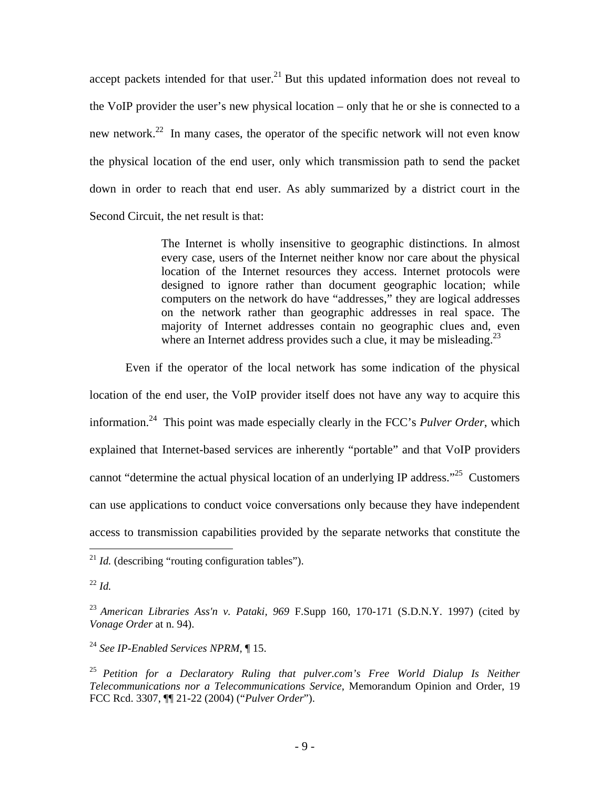accept packets intended for that user. $21$  But this updated information does not reveal to the VoIP provider the user's new physical location – only that he or she is connected to a new network.<sup>22</sup> In many cases, the operator of the specific network will not even know the physical location of the end user, only which transmission path to send the packet down in order to reach that end user. As ably summarized by a district court in the Second Circuit, the net result is that:

> The Internet is wholly insensitive to geographic distinctions. In almost every case, users of the Internet neither know nor care about the physical location of the Internet resources they access. Internet protocols were designed to ignore rather than document geographic location; while computers on the network do have "addresses," they are logical addresses on the network rather than geographic addresses in real space. The majority of Internet addresses contain no geographic clues and, even where an Internet address provides such a clue, it may be misleading.<sup>23</sup>

Even if the operator of the local network has some indication of the physical location of the end user, the VoIP provider itself does not have any way to acquire this information.24 This point was made especially clearly in the FCC's *Pulver Order*, which explained that Internet-based services are inherently "portable" and that VoIP providers cannot "determine the actual physical location of an underlying IP address."<sup>25</sup> Customers can use applications to conduct voice conversations only because they have independent access to transmission capabilities provided by the separate networks that constitute the

 $\overline{a}$ 

<sup>24</sup> *See IP-Enabled Services NPRM,* ¶ 15.

 $^{21}$  *Id.* (describing "routing configuration tables").

 $^{22}$  *Id.* 

<sup>23</sup> *American Libraries Ass'n v. Pataki, 969* F.Supp 160, 170-171 (S.D.N.Y. 1997) (cited by *Vonage Order* at n. 94).

<sup>25</sup> *Petition for a Declaratory Ruling that pulver.com's Free World Dialup Is Neither Telecommunications nor a Telecommunications Service*, Memorandum Opinion and Order, 19 FCC Rcd. 3307, ¶¶ 21-22 (2004) ("*Pulver Order*").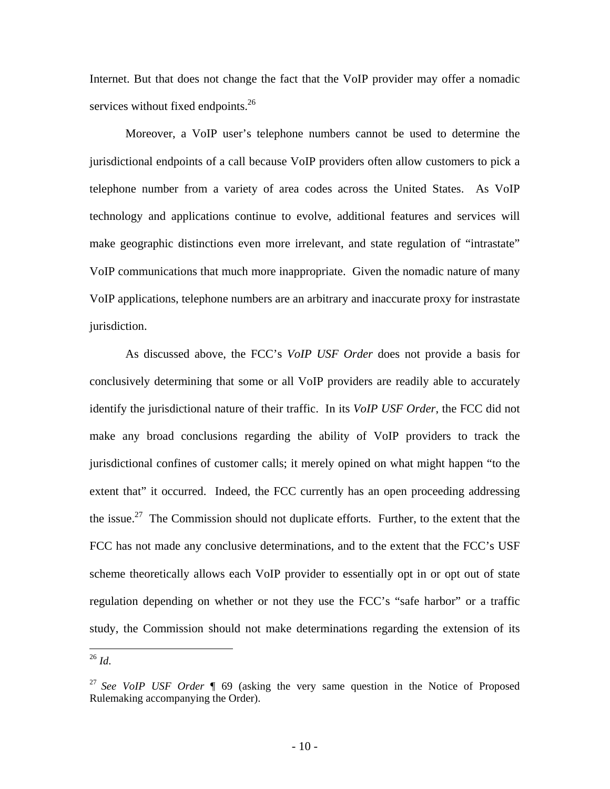Internet. But that does not change the fact that the VoIP provider may offer a nomadic services without fixed endpoints.<sup>26</sup>

Moreover, a VoIP user's telephone numbers cannot be used to determine the jurisdictional endpoints of a call because VoIP providers often allow customers to pick a telephone number from a variety of area codes across the United States. As VoIP technology and applications continue to evolve, additional features and services will make geographic distinctions even more irrelevant, and state regulation of "intrastate" VoIP communications that much more inappropriate. Given the nomadic nature of many VoIP applications, telephone numbers are an arbitrary and inaccurate proxy for instrastate jurisdiction.

As discussed above, the FCC's *VoIP USF Order* does not provide a basis for conclusively determining that some or all VoIP providers are readily able to accurately identify the jurisdictional nature of their traffic. In its *VoIP USF Order*, the FCC did not make any broad conclusions regarding the ability of VoIP providers to track the jurisdictional confines of customer calls; it merely opined on what might happen "to the extent that" it occurred. Indeed, the FCC currently has an open proceeding addressing the issue.<sup>27</sup> The Commission should not duplicate efforts. Further, to the extent that the FCC has not made any conclusive determinations, and to the extent that the FCC's USF scheme theoretically allows each VoIP provider to essentially opt in or opt out of state regulation depending on whether or not they use the FCC's "safe harbor" or a traffic study, the Commission should not make determinations regarding the extension of its

<u>.</u>

<sup>26</sup> *Id*.

<sup>27</sup> *See VoIP USF Order* ¶ 69 (asking the very same question in the Notice of Proposed Rulemaking accompanying the Order).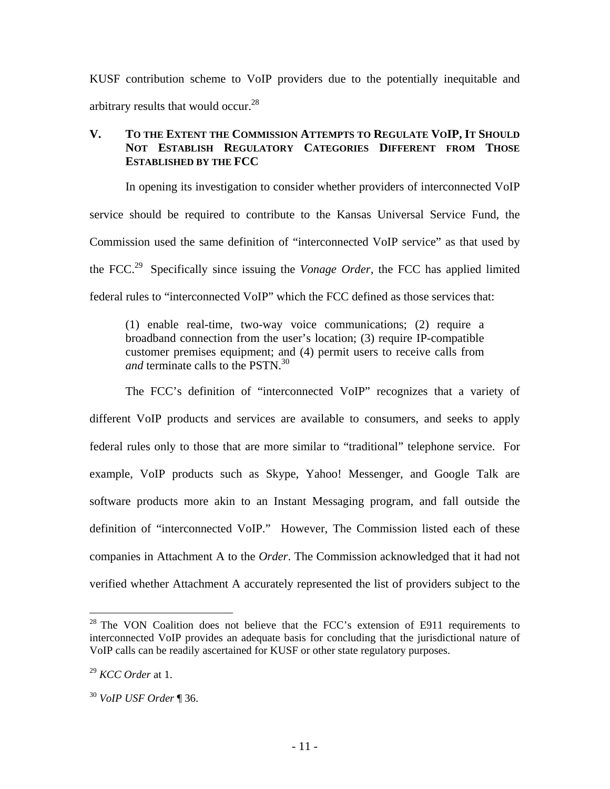KUSF contribution scheme to VoIP providers due to the potentially inequitable and arbitrary results that would occur.<sup>28</sup>

## **V. TO THE EXTENT THE COMMISSION ATTEMPTS TO REGULATE VOIP, IT SHOULD NOT ESTABLISH REGULATORY CATEGORIES DIFFERENT FROM THOSE ESTABLISHED BY THE FCC**

In opening its investigation to consider whether providers of interconnected VoIP service should be required to contribute to the Kansas Universal Service Fund, the Commission used the same definition of "interconnected VoIP service" as that used by the FCC.29 Specifically since issuing the *Vonage Order*, the FCC has applied limited federal rules to "interconnected VoIP" which the FCC defined as those services that:

(1) enable real-time, two-way voice communications; (2) require a broadband connection from the user's location; (3) require IP-compatible customer premises equipment; and (4) permit users to receive calls from *and* terminate calls to the PSTN.<sup>30</sup>

The FCC's definition of "interconnected VoIP" recognizes that a variety of different VoIP products and services are available to consumers, and seeks to apply federal rules only to those that are more similar to "traditional" telephone service. For example, VoIP products such as Skype, Yahoo! Messenger, and Google Talk are software products more akin to an Instant Messaging program, and fall outside the definition of "interconnected VoIP." However, The Commission listed each of these companies in Attachment A to the *Order*. The Commission acknowledged that it had not verified whether Attachment A accurately represented the list of providers subject to the

<sup>&</sup>lt;sup>28</sup> The VON Coalition does not believe that the FCC's extension of E911 requirements to interconnected VoIP provides an adequate basis for concluding that the jurisdictional nature of VoIP calls can be readily ascertained for KUSF or other state regulatory purposes.

<sup>29</sup> *KCC Order* at 1.

<sup>30</sup> *VoIP USF Order* ¶ 36.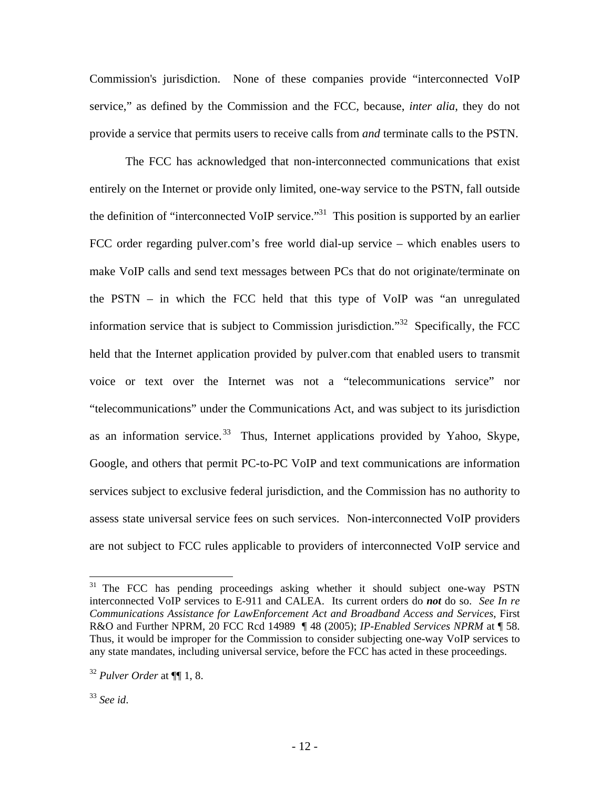Commission's jurisdiction. None of these companies provide "interconnected VoIP service," as defined by the Commission and the FCC, because, *inter alia*, they do not provide a service that permits users to receive calls from *and* terminate calls to the PSTN.

The FCC has acknowledged that non-interconnected communications that exist entirely on the Internet or provide only limited, one-way service to the PSTN, fall outside the definition of "interconnected VoIP service."<sup>31</sup> This position is supported by an earlier FCC order regarding pulver.com's free world dial-up service – which enables users to make VoIP calls and send text messages between PCs that do not originate/terminate on the PSTN – in which the FCC held that this type of VoIP was "an unregulated information service that is subject to Commission jurisdiction."<sup>32</sup> Specifically, the FCC held that the Internet application provided by pulver.com that enabled users to transmit voice or text over the Internet was not a "telecommunications service" nor "telecommunications" under the Communications Act, and was subject to its jurisdiction as an information service.<sup>33</sup> Thus, Internet applications provided by Yahoo, Skype, Google, and others that permit PC-to-PC VoIP and text communications are information services subject to exclusive federal jurisdiction, and the Commission has no authority to assess state universal service fees on such services. Non-interconnected VoIP providers are not subject to FCC rules applicable to providers of interconnected VoIP service and

<u>.</u>

<sup>&</sup>lt;sup>31</sup> The FCC has pending proceedings asking whether it should subject one-way PSTN interconnected VoIP services to E-911 and CALEA. Its current orders do *not* do so. *See In re Communications Assistance for LawEnforcement Act and Broadband Access and Services*, First R&O and Further NPRM, 20 FCC Rcd 14989 ¶ 48 (2005); *IP-Enabled Services NPRM* at ¶ 58. Thus, it would be improper for the Commission to consider subjecting one-way VoIP services to any state mandates, including universal service, before the FCC has acted in these proceedings.

<sup>32</sup> *Pulver Order* at ¶¶ 1, 8.

<sup>33</sup> *See id*.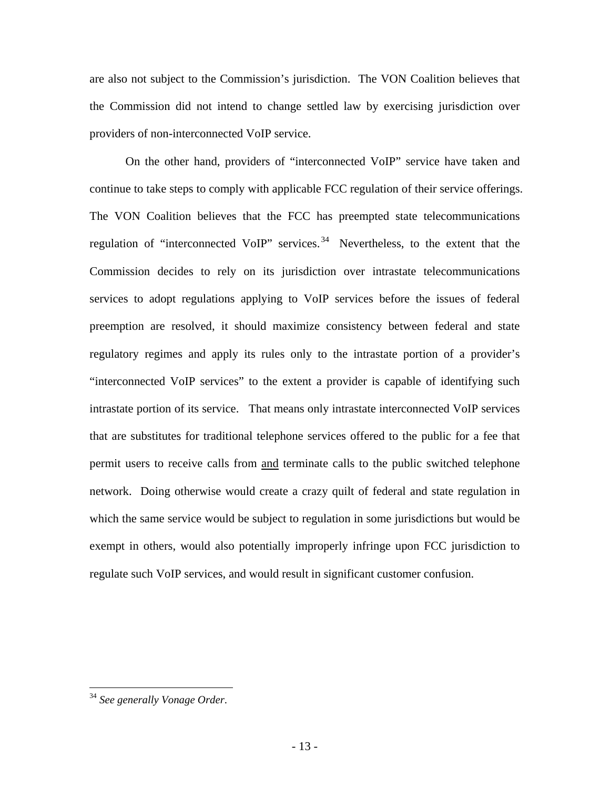are also not subject to the Commission's jurisdiction. The VON Coalition believes that the Commission did not intend to change settled law by exercising jurisdiction over providers of non-interconnected VoIP service.

On the other hand, providers of "interconnected VoIP" service have taken and continue to take steps to comply with applicable FCC regulation of their service offerings. The VON Coalition believes that the FCC has preempted state telecommunications regulation of "interconnected VoIP" services. 34 Nevertheless, to the extent that the Commission decides to rely on its jurisdiction over intrastate telecommunications services to adopt regulations applying to VoIP services before the issues of federal preemption are resolved, it should maximize consistency between federal and state regulatory regimes and apply its rules only to the intrastate portion of a provider's "interconnected VoIP services" to the extent a provider is capable of identifying such intrastate portion of its service. That means only intrastate interconnected VoIP services that are substitutes for traditional telephone services offered to the public for a fee that permit users to receive calls from and terminate calls to the public switched telephone network. Doing otherwise would create a crazy quilt of federal and state regulation in which the same service would be subject to regulation in some jurisdictions but would be exempt in others, would also potentially improperly infringe upon FCC jurisdiction to regulate such VoIP services, and would result in significant customer confusion.

<sup>34</sup> *See generally Vonage Order*.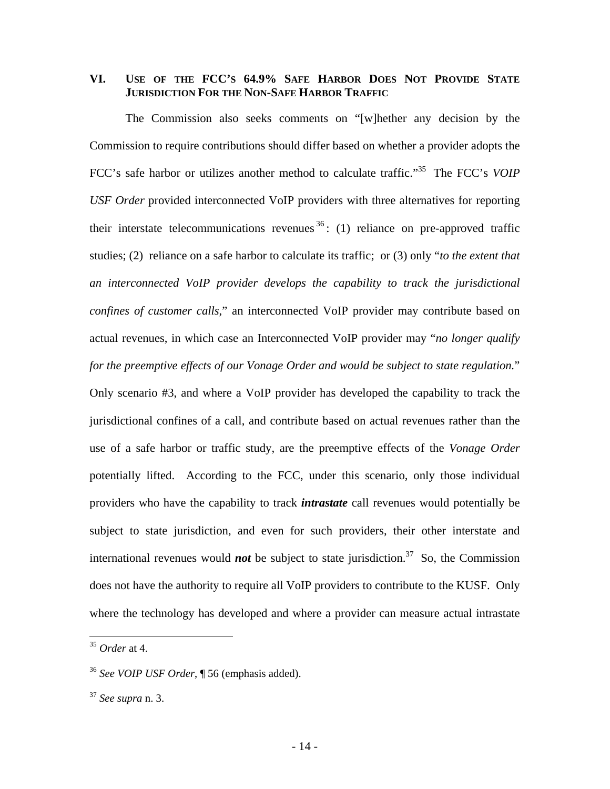### **VI. USE OF THE FCC'S 64.9% SAFE HARBOR DOES NOT PROVIDE STATE JURISDICTION FOR THE NON-SAFE HARBOR TRAFFIC**

The Commission also seeks comments on "[w]hether any decision by the Commission to require contributions should differ based on whether a provider adopts the FCC's safe harbor or utilizes another method to calculate traffic."35 The FCC's *VOIP USF Order* provided interconnected VoIP providers with three alternatives for reporting their interstate telecommunications revenues  $36$ : (1) reliance on pre-approved traffic studies; (2) reliance on a safe harbor to calculate its traffic; or (3) only "*to the extent that an interconnected VoIP provider develops the capability to track the jurisdictional confines of customer calls*," an interconnected VoIP provider may contribute based on actual revenues, in which case an Interconnected VoIP provider may "*no longer qualify for the preemptive effects of our Vonage Order and would be subject to state regulation.*" Only scenario #3, and where a VoIP provider has developed the capability to track the jurisdictional confines of a call, and contribute based on actual revenues rather than the use of a safe harbor or traffic study, are the preemptive effects of the *Vonage Order* potentially lifted. According to the FCC, under this scenario, only those individual providers who have the capability to track *intrastate* call revenues would potentially be subject to state jurisdiction, and even for such providers, their other interstate and international revenues would **not** be subject to state jurisdiction.<sup>37</sup> So, the Commission does not have the authority to require all VoIP providers to contribute to the KUSF. Only where the technology has developed and where a provider can measure actual intrastate

<sup>35</sup> *Order* at 4.

<sup>36</sup> *See VOIP USF Order*, ¶ 56 (emphasis added).

<sup>37</sup> *See supra* n. 3.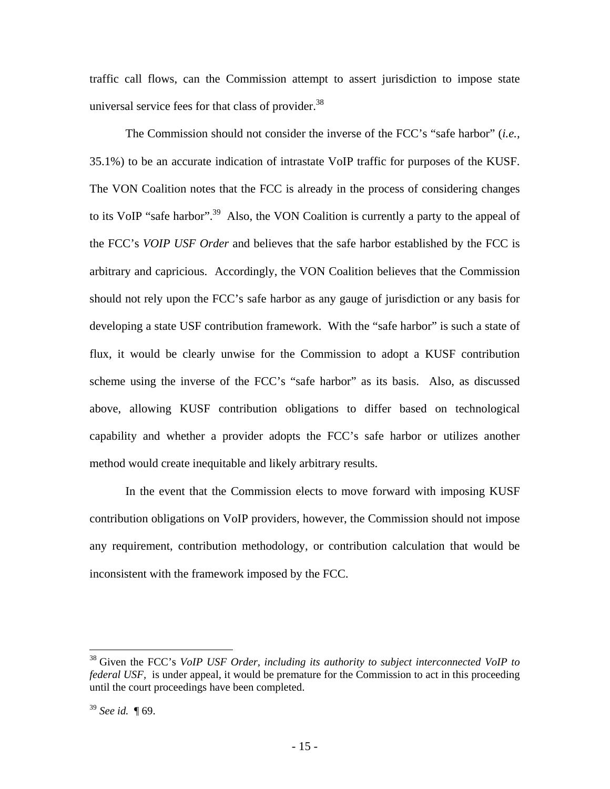traffic call flows, can the Commission attempt to assert jurisdiction to impose state universal service fees for that class of provider. $38$ 

The Commission should not consider the inverse of the FCC's "safe harbor" (*i.e.,* 35.1%) to be an accurate indication of intrastate VoIP traffic for purposes of the KUSF. The VON Coalition notes that the FCC is already in the process of considering changes to its VoIP "safe harbor".<sup>39</sup> Also, the VON Coalition is currently a party to the appeal of the FCC's *VOIP USF Order* and believes that the safe harbor established by the FCC is arbitrary and capricious. Accordingly, the VON Coalition believes that the Commission should not rely upon the FCC's safe harbor as any gauge of jurisdiction or any basis for developing a state USF contribution framework. With the "safe harbor" is such a state of flux, it would be clearly unwise for the Commission to adopt a KUSF contribution scheme using the inverse of the FCC's "safe harbor" as its basis. Also, as discussed above, allowing KUSF contribution obligations to differ based on technological capability and whether a provider adopts the FCC's safe harbor or utilizes another method would create inequitable and likely arbitrary results.

In the event that the Commission elects to move forward with imposing KUSF contribution obligations on VoIP providers, however, the Commission should not impose any requirement, contribution methodology, or contribution calculation that would be inconsistent with the framework imposed by the FCC.

<sup>38</sup> Given the FCC's *VoIP USF Order, including its authority to subject interconnected VoIP to federal USF*, is under appeal, it would be premature for the Commission to act in this proceeding until the court proceedings have been completed.

<sup>39</sup> *See id.* ¶ 69.